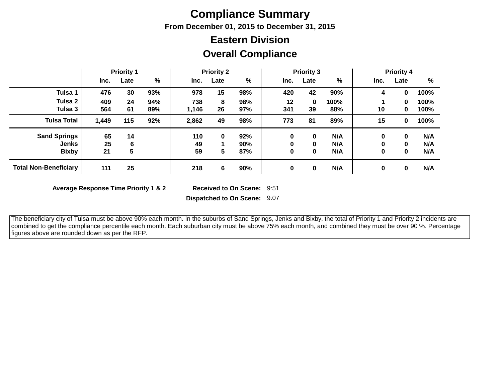## **Compliance Summary**

**From December 01, 2015 to December 31, 2015**

# **Eastern Division**

|  | <b>Overall Compliance</b> |
|--|---------------------------|
|--|---------------------------|

|                              | <b>Priority 1</b> |      | <b>Priority 2</b> |       |      | <b>Priority 3</b> |      |      | <b>Priority 4</b> |      |              |      |
|------------------------------|-------------------|------|-------------------|-------|------|-------------------|------|------|-------------------|------|--------------|------|
|                              | Inc.              | Late | %                 | Inc.  | Late | %                 | Inc. | Late | %                 | Inc. | Late         | %    |
| Tulsa 1                      | 476               | 30   | 93%               | 978   | 15   | 98%               | 420  | 42   | 90%               | 4    | 0            | 100% |
| Tulsa 2                      | 409               | 24   | 94%               | 738   | 8    | 98%               | 12   | 0    | 100%              |      | 0            | 100% |
| Tulsa 3                      | 564               | 61   | 89%               | 1,146 | 26   | 97%               | 341  | 39   | 88%               | 10   | 0            | 100% |
| <b>Tulsa Total</b>           | 1,449             | 115  | 92%               | 2,862 | 49   | 98%               | 773  | 81   | 89%               | 15   | 0            | 100% |
| <b>Sand Springs</b>          | 65                | 14   |                   | 110   | 0    | 92%               | 0    | 0    | N/A               | 0    | 0            | N/A  |
| <b>Jenks</b>                 | 25                | 6    |                   | 49    |      | 90%               | 0    | 0    | N/A               | 0    | $\mathbf{0}$ | N/A  |
| <b>Bixby</b>                 | 21                | 5    |                   | 59    | 5    | 87%               | 0    | 0    | N/A               | 0    | 0            | N/A  |
| <b>Total Non-Beneficiary</b> | 111               | 25   |                   | 218   | 6    | 90%               | 0    | 0    | N/A               | 0    | 0            | N/A  |

**Average Response Time Priority 1 & 2** 

Received to On Scene: 9:51

**Dispatched to On Scene:** 9:07

 The beneficiary city of Tulsa must be above 90% each month. In the suburbs of Sand Springs, Jenks and Bixby, the total of Priority 1 and Priority 2 incidents are combined to get the compliance percentile each month. Each suburban city must be above 75% each month, and combined they must be over 90 %. Percentage figures above are rounded down as per the RFP.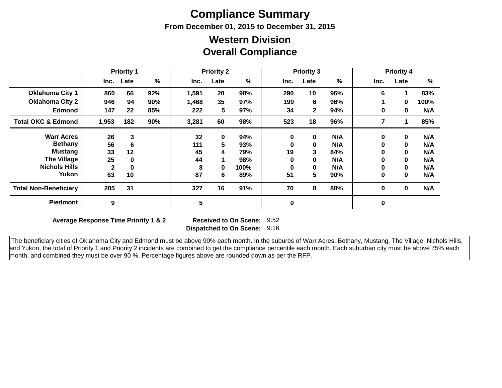# **Compliance Summary**

**From December 01, 2015 to December 31, 2015**

#### **Overall Compliance Western Division**

|                               | <b>Priority 1</b> |              | <b>Priority 2</b> |       | <b>Priority 3</b> |      |           | <b>Priority 4</b> |     |      |             |      |
|-------------------------------|-------------------|--------------|-------------------|-------|-------------------|------|-----------|-------------------|-----|------|-------------|------|
|                               | Inc.              | Late         | %                 | Inc.  | Late              | %    | Inc.      | Late              | %   | Inc. | Late        | %    |
| <b>Oklahoma City 1</b>        | 860               | 66           | 92%               | 1,591 | 20                | 98%  | 290       | 10                | 96% | 6    |             | 83%  |
| <b>Oklahoma City 2</b>        | 946               | 94           | 90%               | 1,468 | 35                | 97%  | 199       | 6                 | 96% |      | $\bf{0}$    | 100% |
| <b>Edmond</b>                 | 147               | 22           | 85%               | 222   | 5                 | 97%  | 34        | $\mathbf{2}$      | 94% | 0    | 0           | N/A  |
| <b>Total OKC &amp; Edmond</b> | 1,953             | 182          | 90%               | 3,281 | 60                | 98%  | 523       | 18                | 96% | 7    |             | 85%  |
| <b>Warr Acres</b>             | 26                | 3            |                   | 32    | $\mathbf 0$       | 94%  | $\bf{0}$  | 0                 | N/A | 0    | $\mathbf 0$ | N/A  |
| <b>Bethany</b>                | 56                | 6            |                   | 111   | 5                 | 93%  | 0         | 0                 | N/A | 0    | $\mathbf 0$ | N/A  |
| <b>Mustang</b>                | 33                | 12           |                   | 45    | 4                 | 79%  | 19        | 3                 | 84% | 0    | $\bf{0}$    | N/A  |
| <b>The Village</b>            | 25                | 0            |                   | 44    |                   | 98%  | 0         | $\bf{0}$          | N/A | 0    | $\bf{0}$    | N/A  |
| <b>Nichols Hills</b>          | $\mathbf{2}$      | $\mathbf{0}$ |                   | 8     | 0                 | 100% | 0         | $\bf{0}$          | N/A | 0    | $\bf{0}$    | N/A  |
| Yukon                         | 63                | 10           |                   | 87    | 6                 | 89%  | 51        | 5                 | 90% | 0    | $\bf{0}$    | N/A  |
| <b>Total Non-Beneficiary</b>  | 205               | 31           |                   | 327   | 16                | 91%  | 70        | 8                 | 88% | 0    | $\mathbf 0$ | N/A  |
| <b>Piedmont</b>               | $\boldsymbol{9}$  |              |                   | 5     |                   |      | $\pmb{0}$ |                   |     | 0    |             |      |

**Average Response Time Priority 1 & 2** 

**Dispatched to On Scene:** 9:16 Received to On Scene: 9:52

 The beneficiary cities of Oklahoma City and Edmond must be above 90% each month. In the suburbs of Warr Acres, Bethany, Mustang, The Village, Nichols Hills, and Yukon, the total of Priority 1 and Priority 2 incidents are combined to get the compliance percentile each month. Each suburban city must be above 75% each month, and combined they must be over 90 %. Percentage figures above are rounded down as per the RFP.